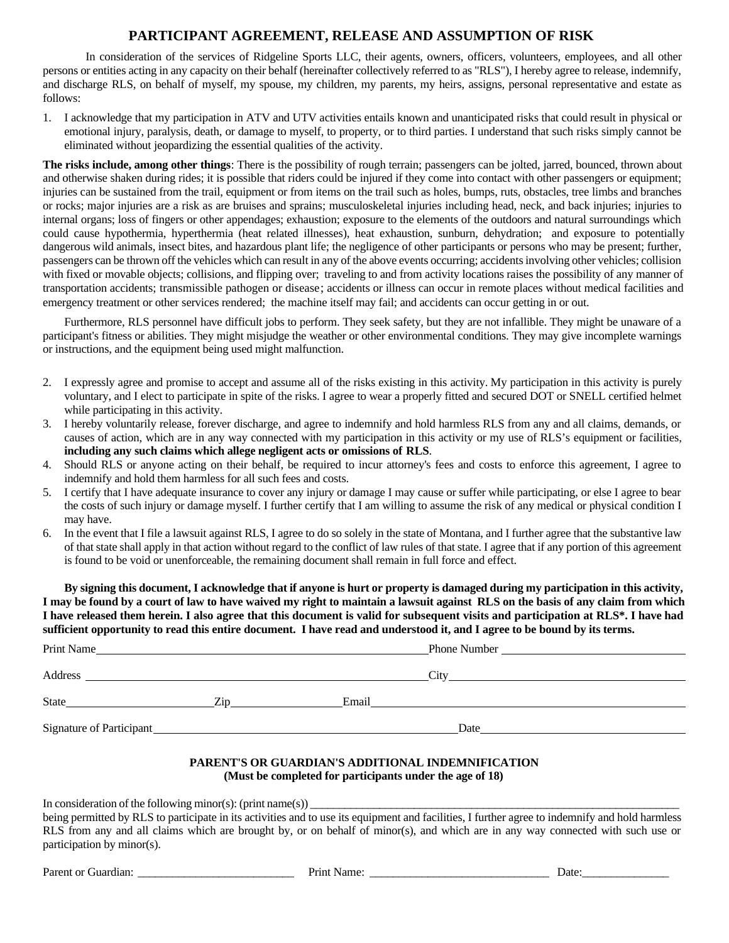## **PARTICIPANT AGREEMENT, RELEASE AND ASSUMPTION OF RISK**

 In consideration of the services of Ridgeline Sports LLC, their agents, owners, officers, volunteers, employees, and all other persons or entities acting in any capacity on their behalf (hereinafter collectively referred to as "RLS"), I hereby agree to release, indemnify, and discharge RLS, on behalf of myself, my spouse, my children, my parents, my heirs, assigns, personal representative and estate as follows:

1. I acknowledge that my participation in ATV and UTV activities entails known and unanticipated risks that could result in physical or emotional injury, paralysis, death, or damage to myself, to property, or to third parties. I understand that such risks simply cannot be eliminated without jeopardizing the essential qualities of the activity.

**The risks include, among other things**: There is the possibility of rough terrain; passengers can be jolted, jarred, bounced, thrown about and otherwise shaken during rides; it is possible that riders could be injured if they come into contact with other passengers or equipment; injuries can be sustained from the trail, equipment or from items on the trail such as holes, bumps, ruts, obstacles, tree limbs and branches or rocks; major injuries are a risk as are bruises and sprains; musculoskeletal injuries including head, neck, and back injuries; injuries to internal organs; loss of fingers or other appendages; exhaustion; exposure to the elements of the outdoors and natural surroundings which could cause hypothermia, hyperthermia (heat related illnesses), heat exhaustion, sunburn, dehydration; and exposure to potentially dangerous wild animals, insect bites, and hazardous plant life; the negligence of other participants or persons who may be present; further, passengers can be thrown off the vehicles which can result in any of the above events occurring; accidents involving other vehicles; collision with fixed or movable objects; collisions, and flipping over; traveling to and from activity locations raises the possibility of any manner of transportation accidents; transmissible pathogen or disease; accidents or illness can occur in remote places without medical facilities and emergency treatment or other services rendered; the machine itself may fail; and accidents can occur getting in or out.

Furthermore, RLS personnel have difficult jobs to perform. They seek safety, but they are not infallible. They might be unaware of a participant's fitness or abilities. They might misjudge the weather or other environmental conditions. They may give incomplete warnings or instructions, and the equipment being used might malfunction.

- 2. I expressly agree and promise to accept and assume all of the risks existing in this activity. My participation in this activity is purely voluntary, and I elect to participate in spite of the risks. I agree to wear a properly fitted and secured DOT or SNELL certified helmet while participating in this activity.
- 3. I hereby voluntarily release, forever discharge, and agree to indemnify and hold harmless RLS from any and all claims, demands, or causes of action, which are in any way connected with my participation in this activity or my use of RLS's equipment or facilities, **including any such claims which allege negligent acts or omissions of RLS**.
- 4. Should RLS or anyone acting on their behalf, be required to incur attorney's fees and costs to enforce this agreement, I agree to indemnify and hold them harmless for all such fees and costs.
- 5. I certify that I have adequate insurance to cover any injury or damage I may cause or suffer while participating, or else I agree to bear the costs of such injury or damage myself. I further certify that I am willing to assume the risk of any medical or physical condition I may have.
- 6. In the event that I file a lawsuit against RLS, I agree to do so solely in the state of Montana, and I further agree that the substantive law of that state shall apply in that action without regard to the conflict of law rules of that state. I agree that if any portion of this agreement is found to be void or unenforceable, the remaining document shall remain in full force and effect.

**By signing this document, I acknowledge that if anyone is hurt or property is damaged during my participation in this activity, I may be found by a court of law to have waived my right to maintain a lawsuit against RLS on the basis of any claim from which I have released them herein. I also agree that this document is valid for subsequent visits and participation at RLS\*. I have had sufficient opportunity to read this entire document. I have read and understood it, and I agree to be bound by its terms.** 

| City |
|------|
|      |
| Date |
|      |

## **PARENT'S OR GUARDIAN'S ADDITIONAL INDEMNIFICATION (Must be completed for participants under the age of 18)**

In consideration of the following minor(s): (print name(s))  $\overline{\phantom{a}}$ 

being permitted by RLS to participate in its activities and to use its equipment and facilities, I further agree to indemnify and hold harmless RLS from any and all claims which are brought by, or on behalf of minor(s), and which are in any way connected with such use or participation by minor(s).

Parent or Guardian: \_\_\_\_\_\_\_\_\_\_\_\_\_\_\_\_\_\_\_\_\_\_\_\_\_\_\_ Print Name: \_\_\_\_\_\_\_\_\_\_\_\_\_\_\_\_\_\_\_\_\_\_\_\_\_\_\_\_\_\_\_ Date:\_\_\_\_\_\_\_\_\_\_\_\_\_\_\_